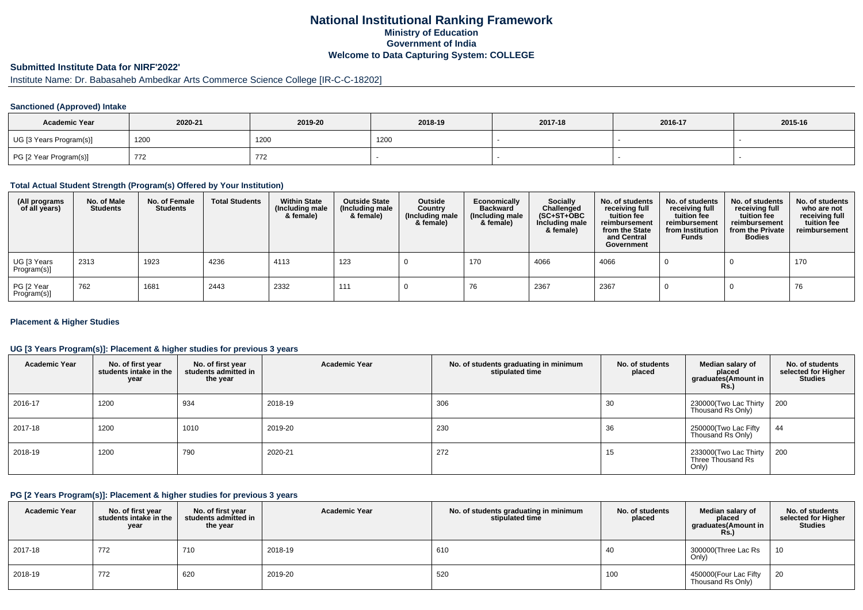## **National Institutional Ranking FrameworkMinistry of Education Government of IndiaWelcome to Data Capturing System: COLLEGE**

# **Submitted Institute Data for NIRF'2022'**

# Institute Name: Dr. Babasaheb Ambedkar Arts Commerce Science College [IR-C-C-18202]

### **Sanctioned (Approved) Intake**

| <b>Academic Year</b>    | 2020-21 | 2019-20 | 2018-19 | 2017-18 | 2016-17 | 2015-16 |
|-------------------------|---------|---------|---------|---------|---------|---------|
| UG [3 Years Program(s)] | 1200    | 1200    | 1200    |         |         |         |
| PG [2 Year Program(s)]  | 772     | 772     |         |         |         |         |

#### **Total Actual Student Strength (Program(s) Offered by Your Institution)**

| (All programs<br>of all years) | No. of Male<br><b>Students</b> | No. of Female<br>Students | <b>Total Students</b> | <b>Within State</b><br>(Including male<br>& female) | <b>Outside State</b><br>(Including male<br>& female) | Outside<br>Country<br>(Including male<br>& female) | Economically<br><b>Backward</b><br>(Including male<br>& female) | Socially<br>Challenged<br>$(SC+ST+OBC)$<br>Including male<br>& female) | No. of students<br>receiving full<br>tuition fee<br>reimbursement<br>from the State<br>and Central<br>Government | No. of students<br>receiving full<br>tuition fee<br>reimbursement<br>from Institution<br><b>Funds</b> | No. of students<br>receiving full<br>tuition fee<br>reimbursement<br>from the Private<br><b>Bodies</b> | No. of students<br>who are not<br>receiving full<br>tuition fee<br>reimbursement |
|--------------------------------|--------------------------------|---------------------------|-----------------------|-----------------------------------------------------|------------------------------------------------------|----------------------------------------------------|-----------------------------------------------------------------|------------------------------------------------------------------------|------------------------------------------------------------------------------------------------------------------|-------------------------------------------------------------------------------------------------------|--------------------------------------------------------------------------------------------------------|----------------------------------------------------------------------------------|
| UG [3 Years<br>Program(s)]     | 2313                           | 1923                      | 4236                  | 4113                                                | 123                                                  |                                                    | 170                                                             | 4066                                                                   | 4066                                                                                                             |                                                                                                       |                                                                                                        | 170                                                                              |
| PG [2 Year<br>Program(s)]      | 762                            | 1681                      | 2443                  | 2332                                                | 111                                                  |                                                    | 76                                                              | 2367                                                                   | 2367                                                                                                             |                                                                                                       |                                                                                                        | 76                                                                               |

### **Placement & Higher Studies**

### **UG [3 Years Program(s)]: Placement & higher studies for previous 3 years**

| <b>Academic Year</b> | No. of first year<br>students intake in the<br>year | No. of first year<br>students admitted in<br>the year | <b>Academic Year</b> | No. of students graduating in minimum<br>stipulated time | No. of students<br>placed | Median salary of<br>placed<br>graduates(Amount in<br><b>Rs.)</b> | No. of students<br>selected for Higher<br><b>Studies</b> |
|----------------------|-----------------------------------------------------|-------------------------------------------------------|----------------------|----------------------------------------------------------|---------------------------|------------------------------------------------------------------|----------------------------------------------------------|
| 2016-17              | 1200                                                | 934                                                   | 2018-19              | 306                                                      | 30                        | 230000(Two Lac Thirty<br>Thousand Rs Only)                       | - 200                                                    |
| 2017-18              | 1200                                                | 1010                                                  | 2019-20              | 230                                                      | 36                        | 250000(Two Lac Fifty<br>Thousand Rs Only)                        | 44                                                       |
| 2018-19              | 1200                                                | 790                                                   | 2020-21              | 272                                                      | 15                        | 233000(Two Lac Thirty<br>Three Thousand Rs<br>Only)              | - 200                                                    |

#### **PG [2 Years Program(s)]: Placement & higher studies for previous 3 years**

| <b>Academic Year</b> | No. of first year<br>students intake in the<br>year | No. of first vear<br>students admitted in<br>the year | <b>Academic Year</b> | No. of students graduating in minimum<br>stipulated time | No. of students<br>placed | Median salary of<br>placed<br>graduates(Amount in<br>Rs.) | No. of students<br>selected for Higher<br><b>Studies</b> |
|----------------------|-----------------------------------------------------|-------------------------------------------------------|----------------------|----------------------------------------------------------|---------------------------|-----------------------------------------------------------|----------------------------------------------------------|
| 2017-18              | 772                                                 | 710                                                   | 2018-19              | 610                                                      | 40                        | 300000 (Three Lac Rs<br>Only)                             | 10                                                       |
| 2018-19              | 772                                                 | 620                                                   | 2019-20              | 520                                                      | 100                       | 450000(Four Lac Fifty<br>Thousand Rs Only)                | 20                                                       |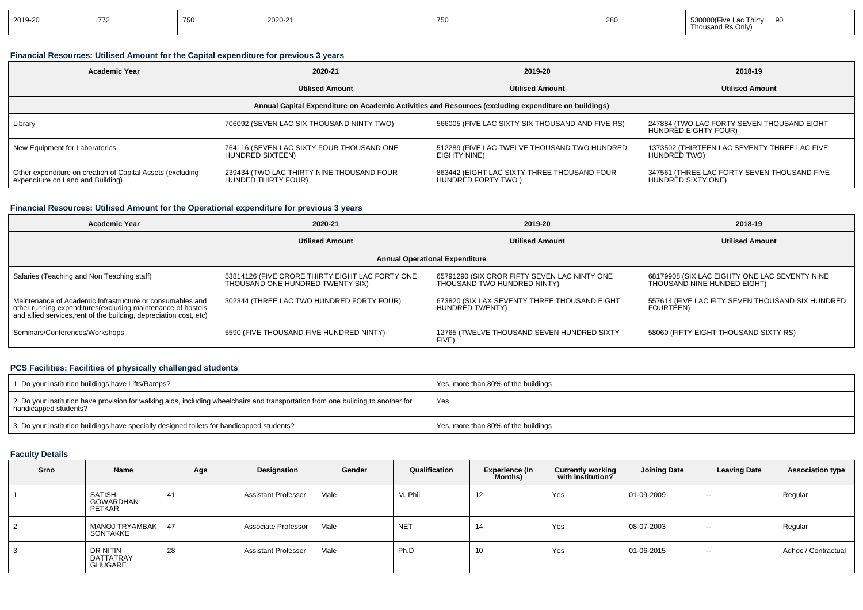|  | 2019-20 | 770 |  | 2020-21 | $\sqrt{2}$<br>$\sim$ | 280 | l hirty<br>- "<br>Thousand Rs Only) |  |
|--|---------|-----|--|---------|----------------------|-----|-------------------------------------|--|
|--|---------|-----|--|---------|----------------------|-----|-------------------------------------|--|

### **Financial Resources: Utilised Amount for the Capital expenditure for previous 3 years**

| <b>Academic Year</b>                                                                                 | 2020-21                                                          |                                                                   | 2018-19                                                            |  |  |  |  |  |  |  |
|------------------------------------------------------------------------------------------------------|------------------------------------------------------------------|-------------------------------------------------------------------|--------------------------------------------------------------------|--|--|--|--|--|--|--|
|                                                                                                      | <b>Utilised Amount</b>                                           | <b>Utilised Amount</b>                                            | <b>Utilised Amount</b>                                             |  |  |  |  |  |  |  |
| Annual Capital Expenditure on Academic Activities and Resources (excluding expenditure on buildings) |                                                                  |                                                                   |                                                                    |  |  |  |  |  |  |  |
| Library                                                                                              | 706092 (SEVEN LAC SIX THOUSAND NINTY TWO)                        | 566005 (FIVE LAC SIXTY SIX THOUSAND AND FIVE RS)                  | 247884 (TWO LAC FORTY SEVEN THOUSAND EIGHT<br>HUNDRED EIGHTY FOUR) |  |  |  |  |  |  |  |
| New Equipment for Laboratories                                                                       | 764116 (SEVEN LAC SIXTY FOUR THOUSAND ONE<br>HUNDRED SIXTEEN)    | 512289 (FIVE LAC TWELVE THOUSAND TWO HUNDRED<br>EIGHTY NINE)      | 1373502 (THIRTEEN LAC SEVENTY THREE LAC FIVE<br>HUNDRED TWO)       |  |  |  |  |  |  |  |
| Other expenditure on creation of Capital Assets (excluding<br>expenditure on Land and Building)      | 239434 (TWO LAC THIRTY NINE THOUSAND FOUR<br>HUNDED THIRTY FOUR) | 863442 (EIGHT LAC SIXTY THREE THOUSAND FOUR<br>HUNDRED FORTY TWO) | 347561 (THREE LAC FORTY SEVEN THOUSAND FIVE<br>HUNDRED SIXTY ONE)  |  |  |  |  |  |  |  |

### **Financial Resources: Utilised Amount for the Operational expenditure for previous 3 years**

| Academic Year                                                                                                                                                                                   | 2020-21                                                                             | 2019-20                                                                     | 2018-19                                                                      |  |  |  |  |  |  |  |
|-------------------------------------------------------------------------------------------------------------------------------------------------------------------------------------------------|-------------------------------------------------------------------------------------|-----------------------------------------------------------------------------|------------------------------------------------------------------------------|--|--|--|--|--|--|--|
|                                                                                                                                                                                                 | <b>Utilised Amount</b>                                                              | <b>Utilised Amount</b>                                                      | <b>Utilised Amount</b>                                                       |  |  |  |  |  |  |  |
| <b>Annual Operational Expenditure</b>                                                                                                                                                           |                                                                                     |                                                                             |                                                                              |  |  |  |  |  |  |  |
| Salaries (Teaching and Non Teaching staff)                                                                                                                                                      | 53814126 (FIVE CRORE THIRTY EIGHT LAC FORTY ONE<br>THOUSAND ONE HUNDRED TWENTY SIX) | 65791290 (SIX CROR FIFTY SEVEN LAC NINTY ONE<br>THOUSAND TWO HUNDRED NINTY) | 68179908 (SIX LAC EIGHTY ONE LAC SEVENTY NINE<br>THOUSAND NINE HUNDED EIGHT) |  |  |  |  |  |  |  |
| Maintenance of Academic Infrastructure or consumables and<br>other running expenditures (excluding maintenance of hostels<br>and allied services, rent of the building, depreciation cost, etc) | 302344 (THREE LAC TWO HUNDRED FORTY FOUR)                                           | 673820 (SIX LAX SEVENTY THREE THOUSAND EIGHT<br>HUNDRED TWENTY)             | 557614 (FIVE LAC FITY SEVEN THOUSAND SIX HUNDRED<br>FOURTEEN)                |  |  |  |  |  |  |  |
| Seminars/Conferences/Workshops                                                                                                                                                                  | 5590 (FIVE THOUSAND FIVE HUNDRED NINTY)                                             | 12765 (TWELVE THOUSAND SEVEN HUNDRED SIXTY<br>FIVE)                         | 58060 (FIFTY EIGHT THOUSAND SIXTY RS)                                        |  |  |  |  |  |  |  |

### **PCS Facilities: Facilities of physically challenged students**

| 1. Do your institution buildings have Lifts/Ramps?                                                                                                         | Yes, more than 80% of the buildings |
|------------------------------------------------------------------------------------------------------------------------------------------------------------|-------------------------------------|
| 2. Do your institution have provision for walking aids, including wheelchairs and transportation from one building to another for<br>handicapped students? | Yes                                 |
| 3. Do your institution buildings have specially designed toilets for handicapped students?                                                                 | Yes, more than 80% of the buildings |

### **Faculty Details**

| Srno | Name                             | Age | Designation                | Gender | Qualification | <b>Experience (In</b><br>Months) | <b>Currently working</b><br>with institution? | <b>Joining Date</b> | <b>Leaving Date</b> | <b>Association type</b> |
|------|----------------------------------|-----|----------------------------|--------|---------------|----------------------------------|-----------------------------------------------|---------------------|---------------------|-------------------------|
|      | SATISH<br>GOWARDHAN<br>PETKAR    | 41  | <b>Assistant Professor</b> | Male   | M. Phil       | 12                               | Yes                                           | 01-09-2009          | $- -$               | Regular                 |
|      | MANOJ TRYAMBAK   47<br>SONTAKKE  |     | Associate Professor        | Male   | <b>NET</b>    | 14                               | Yes                                           | 08-07-2003          | $-$                 | Regular                 |
|      | DR NITIN<br>DATTATRAY<br>GHUGARE | 28  | <b>Assistant Professor</b> | Male   | Ph.D          | 10                               | Yes                                           | 01-06-2015          | $-$                 | Adhoc / Contractual     |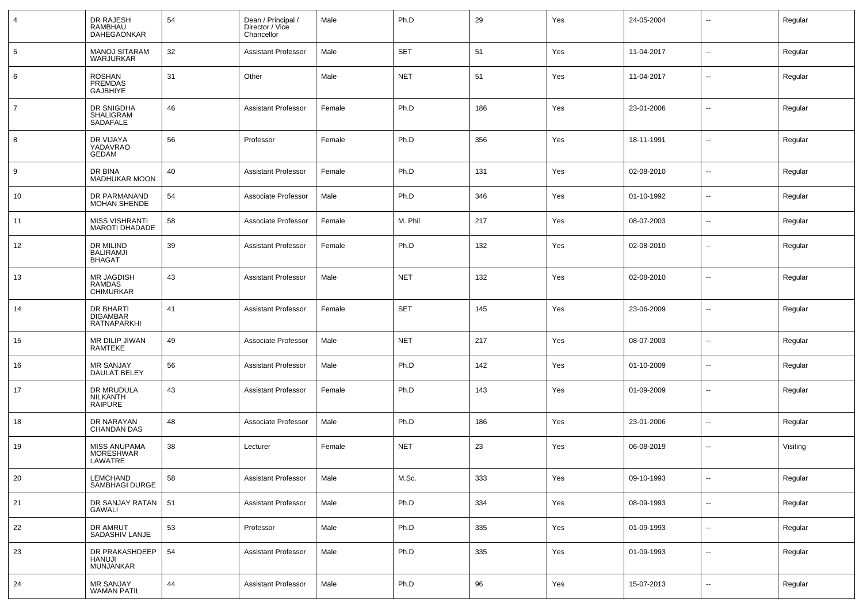| $\overline{4}$  | DR RAJESH<br><b>RAMBHAU</b><br><b>DAHEGAONKAR</b>  | 54 | Dean / Principal /<br>Director / Vice<br>Chancellor | Male   | Ph.D       | 29  | Yes | 24-05-2004 | $\overline{\phantom{a}}$ | Regular  |
|-----------------|----------------------------------------------------|----|-----------------------------------------------------|--------|------------|-----|-----|------------|--------------------------|----------|
| $5\phantom{.0}$ | <b>MANOJ SITARAM</b><br><b>WARJURKAR</b>           | 32 | <b>Assistant Professor</b>                          | Male   | <b>SET</b> | 51  | Yes | 11-04-2017 | $\overline{\phantom{a}}$ | Regular  |
| 6               | <b>ROSHAN</b><br><b>PREMDAS</b><br><b>GAJBHIYE</b> | 31 | Other                                               | Male   | <b>NET</b> | 51  | Yes | 11-04-2017 | Ξ.                       | Regular  |
| $\overline{7}$  | DR SNIGDHA<br>SHALIGRAM<br>SADAFALE                | 46 | <b>Assistant Professor</b>                          | Female | Ph.D       | 186 | Yes | 23-01-2006 | --                       | Regular  |
| 8               | DR VIJAYA<br>YADAVRAO<br><b>GEDAM</b>              | 56 | Professor                                           | Female | Ph.D       | 356 | Yes | 18-11-1991 | --                       | Regular  |
| 9               | DR BINA<br><b>MADHUKAR MOON</b>                    | 40 | <b>Assistant Professor</b>                          | Female | Ph.D       | 131 | Yes | 02-08-2010 | --                       | Regular  |
| 10              | DR PARMANAND<br><b>MOHAN SHENDE</b>                | 54 | Associate Professor                                 | Male   | Ph.D       | 346 | Yes | 01-10-1992 | Ξ.                       | Regular  |
| 11              | <b>MISS VISHRANTI</b><br><b>MAROTI DHADADE</b>     | 58 | Associate Professor                                 | Female | M. Phil    | 217 | Yes | 08-07-2003 | --                       | Regular  |
| 12              | DR MILIND<br><b>BALIRAMJI</b><br><b>BHAGAT</b>     | 39 | <b>Assistant Professor</b>                          | Female | Ph.D       | 132 | Yes | 02-08-2010 | --                       | Regular  |
| 13              | MR JAGDISH<br><b>RAMDAS</b><br><b>CHIMURKAR</b>    | 43 | <b>Assistant Professor</b>                          | Male   | <b>NET</b> | 132 | Yes | 02-08-2010 | --                       | Regular  |
| 14              | DR BHARTI<br><b>DIGAMBAR</b><br>RATNAPARKHI        | 41 | <b>Assistant Professor</b>                          | Female | <b>SET</b> | 145 | Yes | 23-06-2009 | --                       | Regular  |
| 15              | MR DILIP JIWAN<br>RAMTEKE                          | 49 | Associate Professor                                 | Male   | <b>NET</b> | 217 | Yes | 08-07-2003 | $\sim$                   | Regular  |
| 16              | MR SANJAY<br><b>DAULAT BELEY</b>                   | 56 | <b>Assistant Professor</b>                          | Male   | Ph.D       | 142 | Yes | 01-10-2009 | $\overline{\phantom{a}}$ | Regular  |
| 17              | DR MRUDULA<br><b>NILKANTH</b><br><b>RAIPURE</b>    | 43 | <b>Assistant Professor</b>                          | Female | Ph.D       | 143 | Yes | 01-09-2009 | $\overline{\phantom{a}}$ | Regular  |
| 18              | DR NARAYAN<br><b>CHANDAN DAS</b>                   | 48 | Associate Professor                                 | Male   | Ph.D       | 186 | Yes | 23-01-2006 | --                       | Regular  |
| 19              | <b>MISS ANUPAMA</b><br>MORESHWAR<br>LAWATRE        | 38 | Lecturer                                            | Female | <b>NET</b> | 23  | Yes | 06-08-2019 | --                       | Visiting |
| 20              | LEMCHAND<br>SAMBHAGI DURGE                         | 58 | <b>Assistant Professor</b>                          | Male   | M.Sc.      | 333 | Yes | 09-10-1993 | $\overline{\phantom{a}}$ | Regular  |
| 21              | DR SANJAY RATAN<br><b>GAWALI</b>                   | 51 | <b>Assistant Professor</b>                          | Male   | Ph.D       | 334 | Yes | 08-09-1993 | $\overline{\phantom{a}}$ | Regular  |
| 22              | DR AMRUT<br>SADASHIV LANJE                         | 53 | Professor                                           | Male   | Ph.D       | 335 | Yes | 01-09-1993 | $\overline{\phantom{a}}$ | Regular  |
| 23              | DR PRAKASHDEEP<br><b>HANUJI</b><br>MUNJANKAR       | 54 | <b>Assistant Professor</b>                          | Male   | Ph.D       | 335 | Yes | 01-09-1993 | $\overline{\phantom{a}}$ | Regular  |
| 24              | MR SANJAY<br>WAMAN PATIL                           | 44 | <b>Assistant Professor</b>                          | Male   | Ph.D       | 96  | Yes | 15-07-2013 | --                       | Regular  |